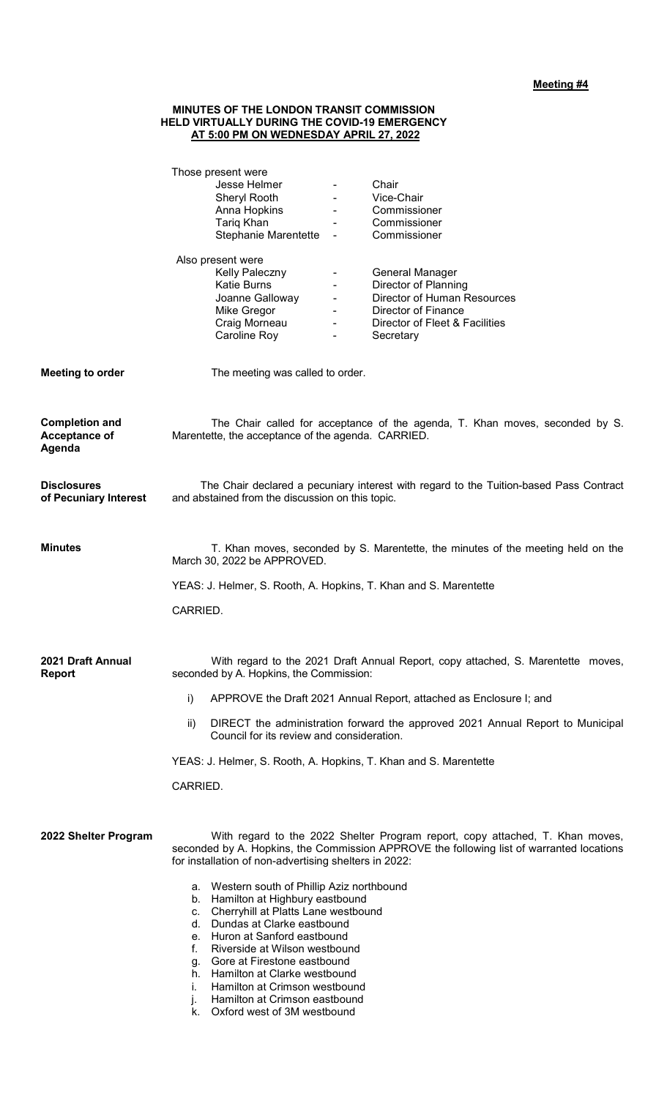## **MINUTES OF THE LONDON TRANSIT COMMISSION HELD VIRTUALLY DURING THE COVID-19 EMERGENCY AT 5:00 PM ON WEDNESDAY APRIL 27, 2022**

| Jesse Helmer<br>Chair<br>$\blacksquare$<br>Vice-Chair<br>Sheryl Rooth<br>$\blacksquare$<br>Anna Hopkins<br>Commissioner<br><b>All Contracts</b><br>Tariq Khan<br>Commissioner<br>Stephanie Marentette<br>Commissioner<br>$\blacksquare$<br>Also present were<br>Kelly Paleczny<br>General Manager<br>Director of Planning<br><b>Katie Burns</b><br>$\blacksquare$<br>Joanne Galloway<br>Director of Human Resources<br>$\blacksquare$<br><b>Director of Finance</b><br>Mike Gregor<br>Craig Morneau<br>Director of Fleet & Facilities<br>$\blacksquare$<br>Caroline Roy<br>Secretary<br>$\blacksquare$<br>The meeting was called to order. |
|--------------------------------------------------------------------------------------------------------------------------------------------------------------------------------------------------------------------------------------------------------------------------------------------------------------------------------------------------------------------------------------------------------------------------------------------------------------------------------------------------------------------------------------------------------------------------------------------------------------------------------------------|
|                                                                                                                                                                                                                                                                                                                                                                                                                                                                                                                                                                                                                                            |
|                                                                                                                                                                                                                                                                                                                                                                                                                                                                                                                                                                                                                                            |
|                                                                                                                                                                                                                                                                                                                                                                                                                                                                                                                                                                                                                                            |
|                                                                                                                                                                                                                                                                                                                                                                                                                                                                                                                                                                                                                                            |
|                                                                                                                                                                                                                                                                                                                                                                                                                                                                                                                                                                                                                                            |
|                                                                                                                                                                                                                                                                                                                                                                                                                                                                                                                                                                                                                                            |
|                                                                                                                                                                                                                                                                                                                                                                                                                                                                                                                                                                                                                                            |
|                                                                                                                                                                                                                                                                                                                                                                                                                                                                                                                                                                                                                                            |
|                                                                                                                                                                                                                                                                                                                                                                                                                                                                                                                                                                                                                                            |
|                                                                                                                                                                                                                                                                                                                                                                                                                                                                                                                                                                                                                                            |
|                                                                                                                                                                                                                                                                                                                                                                                                                                                                                                                                                                                                                                            |
|                                                                                                                                                                                                                                                                                                                                                                                                                                                                                                                                                                                                                                            |
|                                                                                                                                                                                                                                                                                                                                                                                                                                                                                                                                                                                                                                            |
| The Chair called for acceptance of the agenda, T. Khan moves, seconded by S.<br>Marentette, the acceptance of the agenda. CARRIED.                                                                                                                                                                                                                                                                                                                                                                                                                                                                                                         |
| The Chair declared a pecuniary interest with regard to the Tuition-based Pass Contract<br>and abstained from the discussion on this topic.                                                                                                                                                                                                                                                                                                                                                                                                                                                                                                 |
| T. Khan moves, seconded by S. Marentette, the minutes of the meeting held on the<br>March 30, 2022 be APPROVED.                                                                                                                                                                                                                                                                                                                                                                                                                                                                                                                            |
| YEAS: J. Helmer, S. Rooth, A. Hopkins, T. Khan and S. Marentette                                                                                                                                                                                                                                                                                                                                                                                                                                                                                                                                                                           |
| CARRIED.                                                                                                                                                                                                                                                                                                                                                                                                                                                                                                                                                                                                                                   |
| With regard to the 2021 Draft Annual Report, copy attached, S. Marentette moves,<br>seconded by A. Hopkins, the Commission:                                                                                                                                                                                                                                                                                                                                                                                                                                                                                                                |
| i)<br>APPROVE the Draft 2021 Annual Report, attached as Enclosure I; and                                                                                                                                                                                                                                                                                                                                                                                                                                                                                                                                                                   |
| DIRECT the administration forward the approved 2021 Annual Report to Municipal<br>ii)<br>Council for its review and consideration.                                                                                                                                                                                                                                                                                                                                                                                                                                                                                                         |
| YEAS: J. Helmer, S. Rooth, A. Hopkins, T. Khan and S. Marentette                                                                                                                                                                                                                                                                                                                                                                                                                                                                                                                                                                           |
| CARRIED.                                                                                                                                                                                                                                                                                                                                                                                                                                                                                                                                                                                                                                   |
| With regard to the 2022 Shelter Program report, copy attached, T. Khan moves,<br>seconded by A. Hopkins, the Commission APPROVE the following list of warranted locations<br>for installation of non-advertising shelters in 2022:<br>a. Western south of Phillip Aziz northbound<br>b. Hamilton at Highbury eastbound<br>c. Cherryhill at Platts Lane westbound<br>d. Dundas at Clarke eastbound<br>e. Huron at Sanford eastbound<br>Riverside at Wilson westbound<br>f.<br>Gore at Firestone eastbound<br>g.<br>h. Hamilton at Clarke westbound<br>Hamilton at Crimson westbound<br>Ť.                                                   |
|                                                                                                                                                                                                                                                                                                                                                                                                                                                                                                                                                                                                                                            |

k. Oxford west of 3M westbound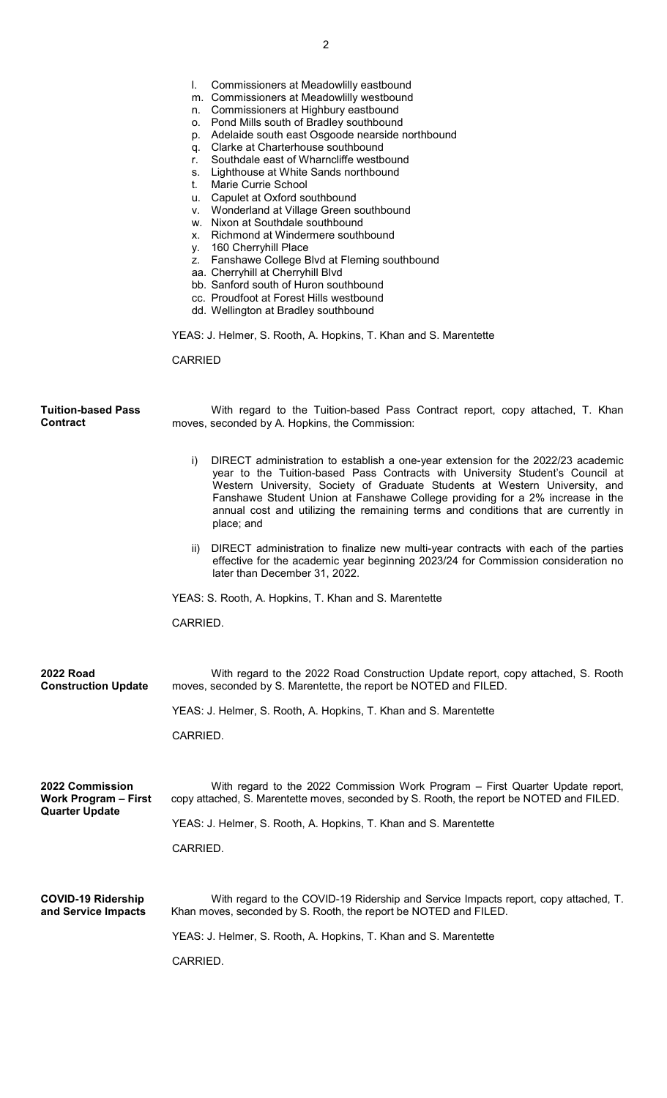|                                                                         | Commissioners at Meadowlilly eastbound<br>m. Commissioners at Meadowlilly westbound<br>n. Commissioners at Highbury eastbound<br>o. Pond Mills south of Bradley southbound<br>p. Adelaide south east Osgoode nearside northbound<br>q. Clarke at Charterhouse southbound<br>Southdale east of Wharncliffe westbound<br>r.<br>s. Lighthouse at White Sands northbound<br>Marie Currie School<br>t.<br>u. Capulet at Oxford southbound<br>v. Wonderland at Village Green southbound<br>w. Nixon at Southdale southbound<br>x. Richmond at Windermere southbound<br>y. 160 Cherryhill Place<br>z. Fanshawe College Blvd at Fleming southbound<br>aa. Cherryhill at Cherryhill Blvd<br>bb. Sanford south of Huron southbound<br>cc. Proudfoot at Forest Hills westbound<br>dd. Wellington at Bradley southbound<br>YEAS: J. Helmer, S. Rooth, A. Hopkins, T. Khan and S. Marentette<br><b>CARRIED</b> |
|-------------------------------------------------------------------------|---------------------------------------------------------------------------------------------------------------------------------------------------------------------------------------------------------------------------------------------------------------------------------------------------------------------------------------------------------------------------------------------------------------------------------------------------------------------------------------------------------------------------------------------------------------------------------------------------------------------------------------------------------------------------------------------------------------------------------------------------------------------------------------------------------------------------------------------------------------------------------------------------|
| <b>Tuition-based Pass</b><br><b>Contract</b>                            | With regard to the Tuition-based Pass Contract report, copy attached, T. Khan<br>moves, seconded by A. Hopkins, the Commission:                                                                                                                                                                                                                                                                                                                                                                                                                                                                                                                                                                                                                                                                                                                                                                   |
|                                                                         | DIRECT administration to establish a one-year extension for the 2022/23 academic<br>i)<br>year to the Tuition-based Pass Contracts with University Student's Council at<br>Western University, Society of Graduate Students at Western University, and<br>Fanshawe Student Union at Fanshawe College providing for a 2% increase in the<br>annual cost and utilizing the remaining terms and conditions that are currently in<br>place; and                                                                                                                                                                                                                                                                                                                                                                                                                                                       |
|                                                                         | DIRECT administration to finalize new multi-year contracts with each of the parties<br>$\parallel$<br>effective for the academic year beginning 2023/24 for Commission consideration no<br>later than December 31, 2022.                                                                                                                                                                                                                                                                                                                                                                                                                                                                                                                                                                                                                                                                          |
|                                                                         | YEAS: S. Rooth, A. Hopkins, T. Khan and S. Marentette                                                                                                                                                                                                                                                                                                                                                                                                                                                                                                                                                                                                                                                                                                                                                                                                                                             |
|                                                                         | CARRIED.                                                                                                                                                                                                                                                                                                                                                                                                                                                                                                                                                                                                                                                                                                                                                                                                                                                                                          |
| <b>2022 Road</b><br><b>Construction Update</b>                          | With regard to the 2022 Road Construction Update report, copy attached, S. Rooth<br>moves, seconded by S. Marentette, the report be NOTED and FILED.                                                                                                                                                                                                                                                                                                                                                                                                                                                                                                                                                                                                                                                                                                                                              |
|                                                                         | YEAS: J. Helmer, S. Rooth, A. Hopkins, T. Khan and S. Marentette                                                                                                                                                                                                                                                                                                                                                                                                                                                                                                                                                                                                                                                                                                                                                                                                                                  |
|                                                                         | CARRIED.                                                                                                                                                                                                                                                                                                                                                                                                                                                                                                                                                                                                                                                                                                                                                                                                                                                                                          |
| 2022 Commission<br><b>Work Program - First</b><br><b>Quarter Update</b> | With regard to the 2022 Commission Work Program – First Quarter Update report,<br>copy attached, S. Marentette moves, seconded by S. Rooth, the report be NOTED and FILED.                                                                                                                                                                                                                                                                                                                                                                                                                                                                                                                                                                                                                                                                                                                        |
|                                                                         | YEAS: J. Helmer, S. Rooth, A. Hopkins, T. Khan and S. Marentette                                                                                                                                                                                                                                                                                                                                                                                                                                                                                                                                                                                                                                                                                                                                                                                                                                  |
|                                                                         | CARRIED.                                                                                                                                                                                                                                                                                                                                                                                                                                                                                                                                                                                                                                                                                                                                                                                                                                                                                          |
| <b>COVID-19 Ridership</b><br>and Service Impacts                        | With regard to the COVID-19 Ridership and Service Impacts report, copy attached, T.<br>Khan moves, seconded by S. Rooth, the report be NOTED and FILED.                                                                                                                                                                                                                                                                                                                                                                                                                                                                                                                                                                                                                                                                                                                                           |
|                                                                         | YEAS: J. Helmer, S. Rooth, A. Hopkins, T. Khan and S. Marentette                                                                                                                                                                                                                                                                                                                                                                                                                                                                                                                                                                                                                                                                                                                                                                                                                                  |
|                                                                         | CARRIED.                                                                                                                                                                                                                                                                                                                                                                                                                                                                                                                                                                                                                                                                                                                                                                                                                                                                                          |